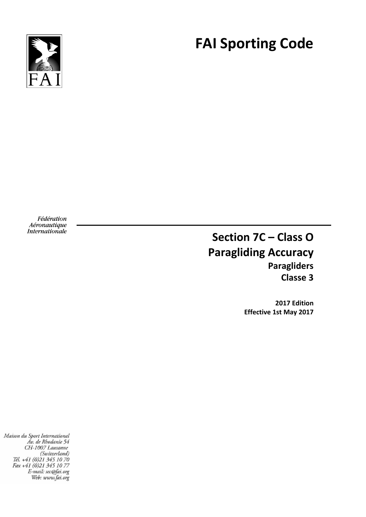

# **FAI Sporting Code**

Fédération Aéronautique Internationale

# **Section 7C – Class O Paragliding Accuracy Paragliders Classe 3**

**2017 Edition Effective 1st May 2017**

Maison du Sport International Av. de Rhodanie 54 CH-1007 Lausanne (Switzerland)<br>(Switzerland)<br>Tél. +41 (0)21 345 10 70<br>Fax +41 (0)21 345 10 77<br>E-mail: sec@fai.org Web: www.fai.org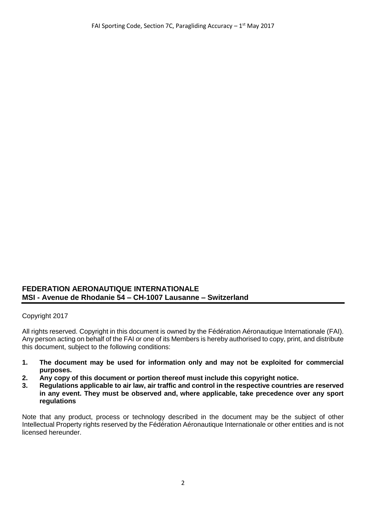#### **FEDERATION AERONAUTIQUE INTERNATIONALE MSI - Avenue de Rhodanie 54 – CH-1007 Lausanne – Switzerland**

Copyright 2017

All rights reserved. Copyright in this document is owned by the Fédération Aéronautique Internationale (FAI). Any person acting on behalf of the FAI or one of its Members is hereby authorised to copy, print, and distribute this document, subject to the following conditions:

- **1. The document may be used for information only and may not be exploited for commercial purposes.**
- **2. Any copy of this document or portion thereof must include this copyright notice.**
- **3. Regulations applicable to air law, air traffic and control in the respective countries are reserved in any event. They must be observed and, where applicable, take precedence over any sport regulations**

Note that any product, process or technology described in the document may be the subject of other Intellectual Property rights reserved by the Fédération Aéronautique Internationale or other entities and is not licensed hereunder.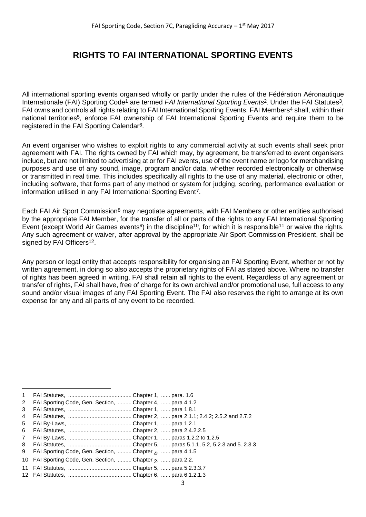# **RIGHTS TO FAI INTERNATIONAL SPORTING EVENTS**

All international sporting events organised wholly or partly under the rules of the Fédération Aéronautique Internationale (FAI) Sporting Code<sup>1</sup> are termed *FAI International Sporting Events*<sup>2</sup>. Under the FAI Statutes<sup>3</sup>, FAI owns and controls all rights relating to FAI International Sporting Events. FAI Members<sup>4</sup> shall, within their national territories<sup>5</sup>, enforce FAI ownership of FAI International Sporting Events and require them to be registered in the FAI Sporting Calendar6.

An event organiser who wishes to exploit rights to any commercial activity at such events shall seek prior agreement with FAI. The rights owned by FAI which may, by agreement, be transferred to event organisers include, but are not limited to advertising at or for FAI events, use of the event name or logo for merchandising purposes and use of any sound, image, program and/or data, whether recorded electronically or otherwise or transmitted in real time. This includes specifically all rights to the use of any material, electronic or other, including software, that forms part of any method or system for judging, scoring, performance evaluation or information utilised in any FAI International Sporting Event7.

Each FAI Air Sport Commission<sup>8</sup> may negotiate agreements, with FAI Members or other entities authorised by the appropriate FAI Member, for the transfer of all or parts of the rights to any FAI International Sporting Event (except World Air Games events<sup>9</sup>) in the discipline<sup>10</sup>, for which it is responsible<sup>11</sup> or waive the rights. Any such agreement or waiver, after approval by the appropriate Air Sport Commission President, shall be signed by FAI Officers<sup>12</sup>.

Any person or legal entity that accepts responsibility for organising an FAI Sporting Event, whether or not by written agreement, in doing so also accepts the proprietary rights of FAI as stated above. Where no transfer of rights has been agreed in writing, FAI shall retain all rights to the event. Regardless of any agreement or transfer of rights, FAI shall have, free of charge for its own archival and/or promotional use, full access to any sound and/or visual images of any FAI Sporting Event. The FAI also reserves the right to arrange at its own expense for any and all parts of any event to be recorded.

**.** 

<sup>1</sup> FAI Statutes, ......................................... Chapter 1, ...... para. 1.6

<sup>2</sup> FAI Sporting Code, Gen. Section, ......... Chapter 4, ...... para 4.1.2

<sup>3</sup> FAI Statutes, ......................................... Chapter 1, ...... para 1.8.1

<sup>4</sup> FAI Statutes, ......................................... Chapter 2, ...... para 2.1.1; 2.4.2; 2.5.2 and 2.7.2

<sup>5</sup> FAI By-Laws, ......................................... Chapter 1, ...... para 1.2.1

<sup>6</sup> FAI Statutes, ......................................... Chapter 2, ...... para 2.4.2.2.5

<sup>7</sup> FAI By-Laws, ......................................... Chapter 1, ...... paras 1.2.2 to 1.2.5

<sup>8</sup> FAI Statutes, ......................................... Chapter 5, ...... paras 5.1.1, 5.2, 5.2.3 and 5..2.3.3

<sup>9</sup> FAI Sporting Code, Gen. Section, ……… Chapter <sub>4</sub>, …… para 4.1.5

<sup>10</sup> FAI Sporting Code, Gen. Section, ......... Chapter 2, ...... para 2.2.

<sup>11</sup> FAI Statutes, ......................................... Chapter 5, ...... para 5.2.3.3.7

<sup>12</sup> FAI Statutes, ......................................... Chapter 6, ...... para 6.1.2.1.3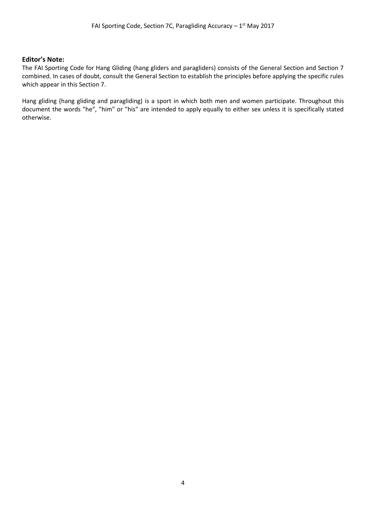#### **Editor's Note:**

The FAI Sporting Code for Hang Gliding (hang gliders and paragliders) consists of the General Section and Section 7 combined. In cases of doubt, consult the General Section to establish the principles before applying the specific rules which appear in this Section 7.

Hang gliding (hang gliding and paragliding) is a sport in which both men and women participate. Throughout this document the words "he", "him" or "his" are intended to apply equally to either sex unless it is specifically stated otherwise.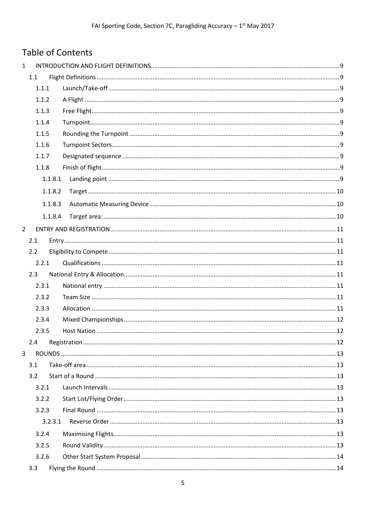# Table of Contents

| $\mathbf{1}$   |         |  |
|----------------|---------|--|
|                | 1.1     |  |
|                | 1.1.1   |  |
|                | 1.1.2   |  |
|                | 1.1.3   |  |
|                | 1.1.4   |  |
|                | 1.1.5   |  |
|                | 1.1.6   |  |
|                | 1.1.7   |  |
|                | 1.1.8   |  |
|                | 1.1.8.1 |  |
|                | 1.1.8.2 |  |
|                | 1.1.8.3 |  |
|                | 1.1.8.4 |  |
| $\overline{2}$ |         |  |
|                | 2.1     |  |
|                | 2.2     |  |
|                | 2.2.1   |  |
|                | 2.3     |  |
|                | 2.3.1   |  |
|                | 2.3.2   |  |
|                | 2.3.3   |  |
|                | 2.3.4   |  |
|                | 2.3.5   |  |
|                | 2.4     |  |
| 3              |         |  |
|                | 3.1     |  |
|                | 3.2     |  |
|                | 3.2.1   |  |
|                | 3.2.2   |  |
|                | 3.2.3   |  |
|                | 3.2.3.1 |  |
|                | 3.2.4   |  |
|                | 3.2.5   |  |
|                | 3.2.6   |  |
|                | 3.3     |  |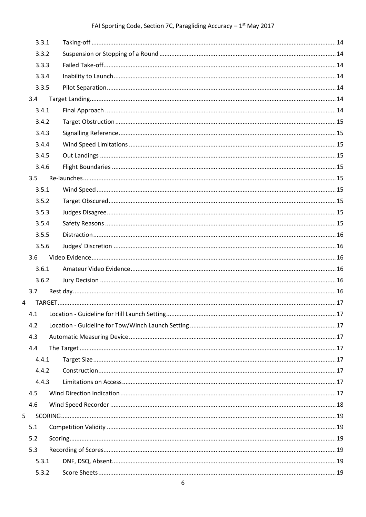# FAI Sporting Code, Section 7C, Paragliding Accuracy  $-1^{st}$  May 2017

|                | 3.3.1 |  |
|----------------|-------|--|
|                | 3.3.2 |  |
|                | 3.3.3 |  |
|                | 3.3.4 |  |
|                | 3.3.5 |  |
|                | 3.4   |  |
|                | 3.4.1 |  |
|                | 3.4.2 |  |
|                | 3.4.3 |  |
|                | 3.4.4 |  |
|                | 3.4.5 |  |
|                | 3.4.6 |  |
|                | 3.5   |  |
|                | 3.5.1 |  |
|                | 3.5.2 |  |
|                | 3.5.3 |  |
|                | 3.5.4 |  |
|                | 3.5.5 |  |
|                | 3.5.6 |  |
|                | 3.6   |  |
|                | 3.6.1 |  |
|                | 3.6.2 |  |
|                | 3.7   |  |
| $\overline{4}$ |       |  |
|                |       |  |
|                | 4.2   |  |
|                | 4.3   |  |
|                | 4.4   |  |
|                | 4.4.1 |  |
|                | 4.4.2 |  |
|                | 4.4.3 |  |
|                | 4.5   |  |
|                | 4.6   |  |
| 5              |       |  |
|                | 5.1   |  |
|                | 5.2   |  |
|                | 5.3   |  |
|                | 5.3.1 |  |
|                | 5.3.2 |  |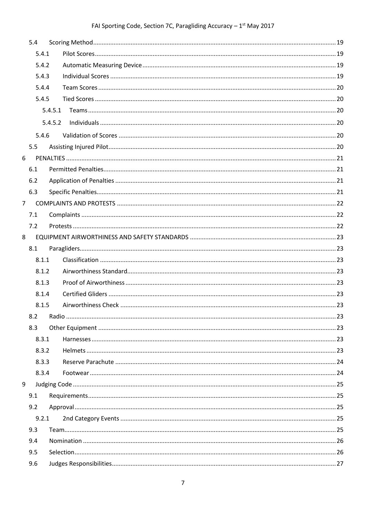# FAI Sporting Code, Section 7C, Paragliding Accuracy  $-1^{st}$  May 2017

|                | 5.4   |         |  |
|----------------|-------|---------|--|
|                | 5.4.1 |         |  |
|                | 5.4.2 |         |  |
|                | 5.4.3 |         |  |
|                | 5.4.4 |         |  |
|                | 5.4.5 |         |  |
|                |       | 5.4.5.1 |  |
|                |       | 5.4.5.2 |  |
|                | 5.4.6 |         |  |
|                | 5.5   |         |  |
| 6              |       |         |  |
|                | 6.1   |         |  |
|                | 6.2   |         |  |
|                | 6.3   |         |  |
| $\overline{7}$ |       |         |  |
|                | 7.1   |         |  |
|                | 7.2   |         |  |
| 8              |       |         |  |
|                | 8.1   |         |  |
|                | 8.1.1 |         |  |
|                | 8.1.2 |         |  |
|                | 8.1.3 |         |  |
|                | 8.1.4 |         |  |
|                | 8.1.5 |         |  |
|                | 8.2   |         |  |
|                | 8.3   |         |  |
|                | 8.3.1 |         |  |
|                | 8.3.2 |         |  |
|                | 8.3.3 |         |  |
|                | 8.3.4 |         |  |
| 9              |       |         |  |
|                | 9.1   |         |  |
|                | 9.2   |         |  |
|                | 9.2.1 |         |  |
|                | 9.3   |         |  |
|                | 9.4   |         |  |
|                | 9.5   |         |  |
|                | 9.6   |         |  |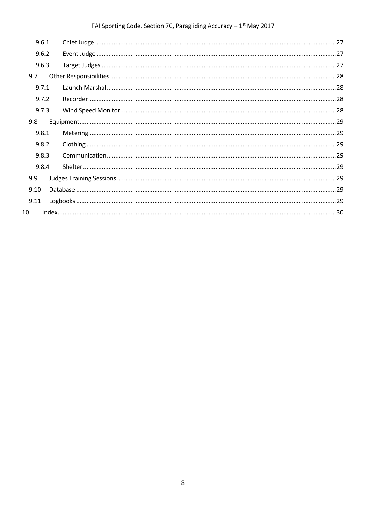# FAI Sporting Code, Section 7C, Paragliding Accuracy  $-1^{st}$  May 2017

|      | 9.6.1 |  |
|------|-------|--|
|      | 9.6.2 |  |
|      | 9.6.3 |  |
| 9.7  |       |  |
|      | 9.7.1 |  |
|      | 9.7.2 |  |
|      | 9.7.3 |  |
| 9.8  |       |  |
|      | 9.8.1 |  |
|      | 9.8.2 |  |
|      | 9.8.3 |  |
|      | 9.8.4 |  |
| 9.9  |       |  |
| 9.10 |       |  |
| 9.11 |       |  |
| 10   |       |  |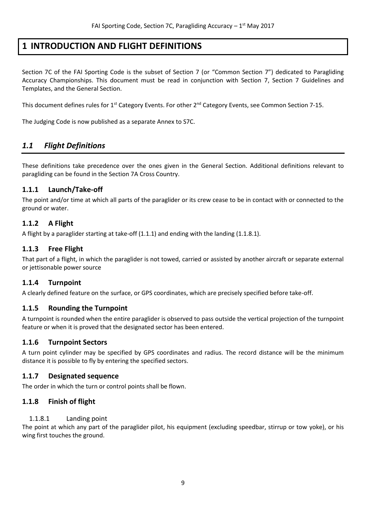# <span id="page-8-0"></span>**1 INTRODUCTION AND FLIGHT DEFINITIONS**

Section 7C of the FAI Sporting Code is the subset of Section 7 (or "Common Section 7") dedicated to Paragliding Accuracy Championships. This document must be read in conjunction with Section 7, Section 7 Guidelines and Templates, and the General Section.

This document defines rules for  $1^{st}$  Category Events. For other  $2^{nd}$  Category Events, see Common Section 7-15.

The Judging Code is now published as a separate Annex to S7C.

# <span id="page-8-1"></span>*1.1 Flight Definitions*

These definitions take precedence over the ones given in the General Section. Additional definitions relevant to paragliding can be found in the Section 7A Cross Country.

#### <span id="page-8-2"></span>**1.1.1 Launch/Take-off**

The point and/or time at which all parts of the paraglider or its crew cease to be in contact with or connected to the ground or water.

#### <span id="page-8-3"></span>**1.1.2 A Flight**

A flight by a paraglider starting at take-off (1.1.1) and ending with the landing (1.1.8.1).

#### <span id="page-8-4"></span>**1.1.3 Free Flight**

That part of a flight, in which the paraglider is not towed, carried or assisted by another aircraft or separate external or jettisonable power source

#### <span id="page-8-5"></span>**1.1.4 Turnpoint**

A clearly defined feature on the surface, or GPS coordinates, which are precisely specified before take-off.

#### <span id="page-8-6"></span>**1.1.5 Rounding the Turnpoint**

A turnpoint is rounded when the entire paraglider is observed to pass outside the vertical projection of the turnpoint feature or when it is proved that the designated sector has been entered.

#### <span id="page-8-7"></span>**1.1.6 Turnpoint Sectors**

A turn point cylinder may be specified by GPS coordinates and radius. The record distance will be the minimum distance it is possible to fly by entering the specified sectors.

#### <span id="page-8-8"></span>**1.1.7 Designated sequence**

<span id="page-8-9"></span>The order in which the turn or control points shall be flown.

#### **1.1.8 Finish of flight**

#### <span id="page-8-10"></span>1.1.8.1 Landing point

The point at which any part of the paraglider pilot, his equipment (excluding speedbar, stirrup or tow yoke), or his wing first touches the ground.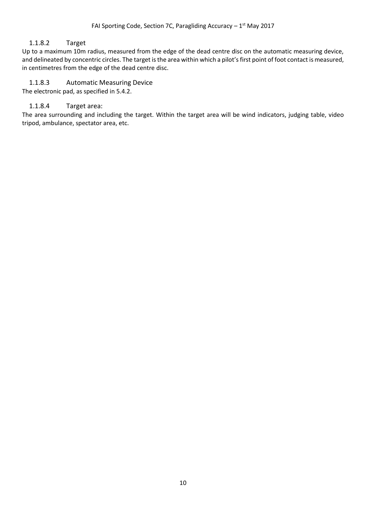#### <span id="page-9-0"></span>1.1.8.2 Target

Up to a maximum 10m radius, measured from the edge of the dead centre disc on the automatic measuring device, and delineated by concentric circles. The target is the area within which a pilot's first point of foot contact is measured, in centimetres from the edge of the dead centre disc.

#### <span id="page-9-1"></span>1.1.8.3 Automatic Measuring Device

<span id="page-9-2"></span>The electronic pad, as specified in 5.4.2.

#### 1.1.8.4 Target area:

The area surrounding and including the target. Within the target area will be wind indicators, judging table, video tripod, ambulance, spectator area, etc.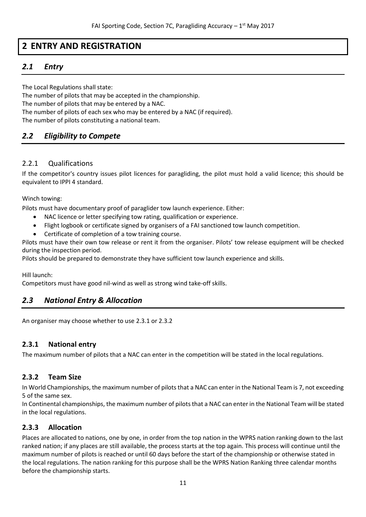# <span id="page-10-0"></span>**2 ENTRY AND REGISTRATION**

# <span id="page-10-1"></span>*2.1 Entry*

The Local Regulations shall state: The number of pilots that may be accepted in the championship. The number of pilots that may be entered by a NAC. The number of pilots of each sex who may be entered by a NAC (if required). The number of pilots constituting a national team.

# <span id="page-10-2"></span>*2.2 Eligibility to Compete*

## <span id="page-10-3"></span>2.2.1 Qualifications

If the competitor's country issues pilot licences for paragliding, the pilot must hold a valid licence; this should be equivalent to IPPI 4 standard.

Winch towing:

Pilots must have documentary proof of paraglider tow launch experience. Either:

- NAC licence or letter specifying tow rating, qualification or experience.
- Flight logbook or certificate signed by organisers of a FAI sanctioned tow launch competition.
- Certificate of completion of a tow training course.

Pilots must have their own tow release or rent it from the organiser. Pilots' tow release equipment will be checked during the inspection period.

Pilots should be prepared to demonstrate they have sufficient tow launch experience and skills.

Hill launch:

Competitors must have good nil-wind as well as strong wind take-off skills.

## <span id="page-10-4"></span>*2.3 National Entry & Allocation*

An organiser may choose whether to use 2.3.1 or 2.3.2

#### <span id="page-10-5"></span>**2.3.1 National entry**

The maximum number of pilots that a NAC can enter in the competition will be stated in the local regulations.

#### <span id="page-10-6"></span>**2.3.2 Team Size**

In World Championships, the maximum number of pilots that a NAC can enter in the National Team is 7, not exceeding 5 of the same sex.

In Continental championships, the maximum number of pilots that a NAC can enter in the National Team will be stated in the local regulations.

## <span id="page-10-7"></span>**2.3.3 Allocation**

Places are allocated to nations, one by one, in order from the top nation in the WPRS nation ranking down to the last ranked nation; if any places are still available, the process starts at the top again. This process will continue until the maximum number of pilots is reached or until 60 days before the start of the championship or otherwise stated in the local regulations. The nation ranking for this purpose shall be the WPRS Nation Ranking three calendar months before the championship starts.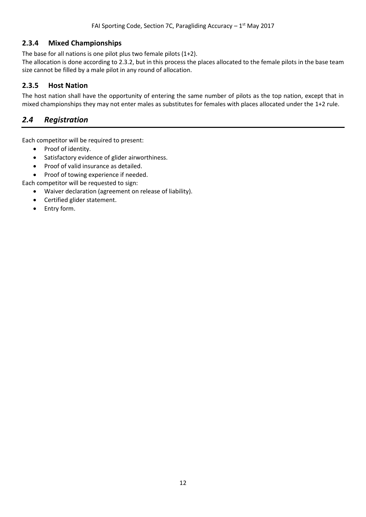#### <span id="page-11-0"></span>**2.3.4 Mixed Championships**

The base for all nations is one pilot plus two female pilots (1+2).

The allocation is done according to 2.3.2, but in this process the places allocated to the female pilots in the base team size cannot be filled by a male pilot in any round of allocation.

## <span id="page-11-1"></span>**2.3.5 Host Nation**

The host nation shall have the opportunity of entering the same number of pilots as the top nation, except that in mixed championships they may not enter males as substitutes for females with places allocated under the 1+2 rule.

# <span id="page-11-2"></span>*2.4 Registration*

Each competitor will be required to present:

- Proof of identity.
- Satisfactory evidence of glider airworthiness.
- Proof of valid insurance as detailed.
- Proof of towing experience if needed.

Each competitor will be requested to sign:

- Waiver declaration (agreement on release of liability).
- Certified glider statement.
- Entry form.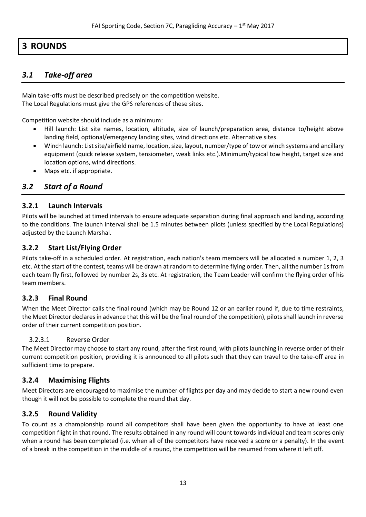# <span id="page-12-0"></span>**3 ROUNDS**

# <span id="page-12-1"></span>*3.1 Take-off area*

Main take-offs must be described precisely on the competition website. The Local Regulations must give the GPS references of these sites.

Competition website should include as a minimum:

- Hill launch: List site names, location, altitude, size of launch/preparation area, distance to/height above landing field, optional/emergency landing sites, wind directions etc. Alternative sites.
- Winch launch: Listsite/airfield name, location, size, layout, number/type of tow or winch systems and ancillary equipment (quick release system, tensiometer, weak links etc.).Minimum/typical tow height, target size and location options, wind directions.
- Maps etc. if appropriate.

# <span id="page-12-2"></span>*3.2 Start of a Round*

#### <span id="page-12-3"></span>**3.2.1 Launch Intervals**

Pilots will be launched at timed intervals to ensure adequate separation during final approach and landing, according to the conditions. The launch interval shall be 1.5 minutes between pilots (unless specified by the Local Regulations) adjusted by the Launch Marshal.

#### <span id="page-12-4"></span>**3.2.2 Start List/Flying Order**

Pilots take-off in a scheduled order. At registration, each nation's team members will be allocated a number 1, 2, 3 etc. At the start of the contest, teams will be drawn at random to determine flying order. Then, all the number 1s from each team fly first, followed by number 2s, 3s etc. At registration, the Team Leader will confirm the flying order of his team members.

#### <span id="page-12-5"></span>**3.2.3 Final Round**

When the Meet Director calls the final round (which may be Round 12 or an earlier round if, due to time restraints, the Meet Director declares in advance that this will be the final round of the competition), pilots shall launch in reverse order of their current competition position.

#### <span id="page-12-6"></span>3.2.3.1 Reverse Order

The Meet Director may choose to start any round, after the first round, with pilots launching in reverse order of their current competition position, providing it is announced to all pilots such that they can travel to the take-off area in sufficient time to prepare.

#### <span id="page-12-7"></span>**3.2.4 Maximising Flights**

Meet Directors are encouraged to maximise the number of flights per day and may decide to start a new round even though it will not be possible to complete the round that day.

#### <span id="page-12-8"></span>**3.2.5 Round Validity**

To count as a championship round all competitors shall have been given the opportunity to have at least one competition flight in that round. The results obtained in any round will count towards individual and team scores only when a round has been completed (i.e. when all of the competitors have received a score or a penalty). In the event of a break in the competition in the middle of a round, the competition will be resumed from where it left off.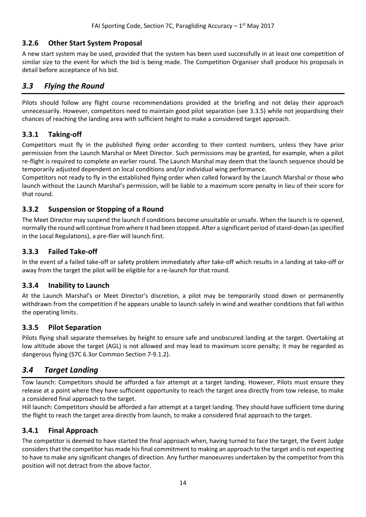## <span id="page-13-0"></span>**3.2.6 Other Start System Proposal**

A new start system may be used, provided that the system has been used successfully in at least one competition of similar size to the event for which the bid is being made. The Competition Organiser shall produce his proposals in detail before acceptance of his bid.

## <span id="page-13-1"></span>*3.3 Flying the Round*

Pilots should follow any flight course recommendations provided at the briefing and not delay their approach unnecessarily. However, competitors need to maintain good pilot separation (see 3.3.5) while not jeopardising their chances of reaching the landing area with sufficient height to make a considered target approach.

#### <span id="page-13-2"></span>**3.3.1 Taking-off**

Competitors must fly in the published flying order according to their contest numbers, unless they have prior permission from the Launch Marshal or Meet Director. Such permissions may be granted, for example, when a pilot re-flight is required to complete an earlier round. The Launch Marshal may deem that the launch sequence should be temporarily adjusted dependent on local conditions and/or individual wing performance.

Competitors not ready to fly in the established flying order when called forward by the Launch Marshal or those who launch without the Launch Marshal's permission, will be liable to a maximum score penalty in lieu of their score for that round.

#### <span id="page-13-3"></span>**3.3.2 Suspension or Stopping of a Round**

The Meet Director may suspend the launch if conditions become unsuitable or unsafe. When the launch is re-opened, normally the round will continue from where it had been stopped. After a significant period of stand-down (as specified in the Local Regulations), a pre-flier will launch first.

#### <span id="page-13-4"></span>**3.3.3 Failed Take-off**

In the event of a failed take-off or safety problem immediately after take-off which results in a landing at take-off or away from the target the pilot will be eligible for a re-launch for that round.

#### <span id="page-13-5"></span>**3.3.4 Inability to Launch**

At the Launch Marshal's or Meet Director's discretion, a pilot may be temporarily stood down or permanently withdrawn from the competition if he appears unable to launch safely in wind and weather conditions that fall within the operating limits.

#### <span id="page-13-6"></span>**3.3.5 Pilot Separation**

Pilots flying shall separate themselves by height to ensure safe and unobscured landing at the target. Overtaking at low altitude above the target (AGL) is not allowed and may lead to maximum score penalty; it may be regarded as dangerous flying (S7C 6.3or Common Section 7-9.1.2).

## <span id="page-13-7"></span>*3.4 Target Landing*

Tow launch: Competitors should be afforded a fair attempt at a target landing. However, Pilots must ensure they release at a point where they have sufficient opportunity to reach the target area directly from tow release, to make a considered final approach to the target.

Hill launch: Competitors should be afforded a fair attempt at a target landing. They should have sufficient time during the flight to reach the target area directly from launch, to make a considered final approach to the target.

#### <span id="page-13-8"></span>**3.4.1 Final Approach**

The competitor is deemed to have started the final approach when, having turned to face the target, the Event Judge considers that the competitor has made his final commitment to making an approach to the target and is not expecting to have to make any significant changes of direction. Any further manoeuvres undertaken by the competitor from this position will not detract from the above factor.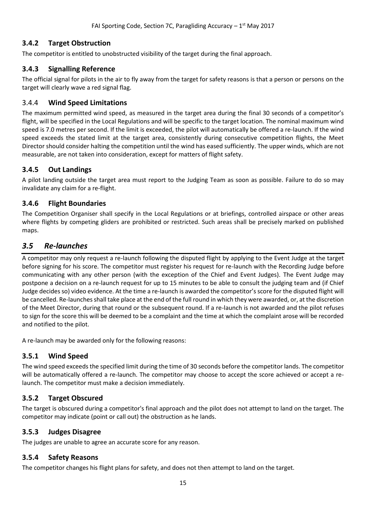# <span id="page-14-0"></span>**3.4.2 Target Obstruction**

The competitor is entitled to unobstructed visibility of the target during the final approach.

## <span id="page-14-1"></span>**3.4.3 Signalling Reference**

The official signal for pilots in the air to fly away from the target for safety reasons is that a person or persons on the target will clearly wave a red signal flag.

## <span id="page-14-2"></span>3.4.4 **Wind Speed Limitations**

The maximum permitted wind speed, as measured in the target area during the final 30 seconds of a competitor's flight, will be specified in the Local Regulations and will be specific to the target location. The nominal maximum wind speed is 7.0 metres per second. If the limit is exceeded, the pilot will automatically be offered a re-launch. If the wind speed exceeds the stated limit at the target area, consistently during consecutive competition flights, the Meet Director should consider halting the competition until the wind has eased sufficiently. The upper winds, which are not measurable, are not taken into consideration, except for matters of flight safety.

## <span id="page-14-3"></span>**3.4.5 Out Landings**

A pilot landing outside the target area must report to the Judging Team as soon as possible. Failure to do so may invalidate any claim for a re-flight.

## <span id="page-14-4"></span>**3.4.6 Flight Boundaries**

The Competition Organiser shall specify in the Local Regulations or at briefings, controlled airspace or other areas where flights by competing gliders are prohibited or restricted. Such areas shall be precisely marked on published maps.

# <span id="page-14-5"></span>*3.5 Re-launches*

A competitor may only request a re-launch following the disputed flight by applying to the Event Judge at the target before signing for his score. The competitor must register his request for re-launch with the Recording Judge before communicating with any other person (with the exception of the Chief and Event Judges). The Event Judge may postpone a decision on a re-launch request for up to 15 minutes to be able to consult the judging team and (if Chief Judge decides so) video evidence. At the time a re-launch is awarded the competitor's score for the disputed flight will be cancelled. Re-launches shall take place at the end of the full round in which they were awarded, or, at the discretion of the Meet Director, during that round or the subsequent round. If a re-launch is not awarded and the pilot refuses to sign for the score this will be deemed to be a complaint and the time at which the complaint arose will be recorded and notified to the pilot.

A re-launch may be awarded only for the following reasons:

## <span id="page-14-6"></span>**3.5.1 Wind Speed**

The wind speed exceeds the specified limit during the time of 30 seconds before the competitor lands. The competitor will be automatically offered a re-launch. The competitor may choose to accept the score achieved or accept a relaunch. The competitor must make a decision immediately.

## <span id="page-14-7"></span>**3.5.2 Target Obscured**

The target is obscured during a competitor's final approach and the pilot does not attempt to land on the target. The competitor may indicate (point or call out) the obstruction as he lands.

## <span id="page-14-8"></span>**3.5.3 Judges Disagree**

The judges are unable to agree an accurate score for any reason.

## <span id="page-14-9"></span>**3.5.4 Safety Reasons**

The competitor changes his flight plans for safety, and does not then attempt to land on the target.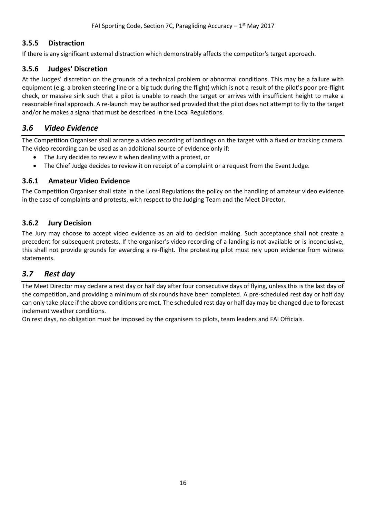#### <span id="page-15-0"></span>**3.5.5 Distraction**

If there is any significant external distraction which demonstrably affects the competitor's target approach.

## <span id="page-15-1"></span>**3.5.6 Judges' Discretion**

At the Judges' discretion on the grounds of a technical problem or abnormal conditions. This may be a failure with equipment (e.g. a broken steering line or a big tuck during the flight) which is not a result of the pilot's poor pre-flight check, or massive sink such that a pilot is unable to reach the target or arrives with insufficient height to make a reasonable final approach. A re-launch may be authorised provided that the pilot does not attempt to fly to the target and/or he makes a signal that must be described in the Local Regulations.

#### <span id="page-15-2"></span>*3.6 Video Evidence*

The Competition Organiser shall arrange a video recording of landings on the target with a fixed or tracking camera. The video recording can be used as an additional source of evidence only if:

- The Jury decides to review it when dealing with a protest, or
- The Chief Judge decides to review it on receipt of a complaint or a request from the Event Judge.

#### <span id="page-15-3"></span>**3.6.1 Amateur Video Evidence**

The Competition Organiser shall state in the Local Regulations the policy on the handling of amateur video evidence in the case of complaints and protests, with respect to the Judging Team and the Meet Director.

#### <span id="page-15-4"></span>**3.6.2 Jury Decision**

The Jury may choose to accept video evidence as an aid to decision making. Such acceptance shall not create a precedent for subsequent protests. If the organiser's video recording of a landing is not available or is inconclusive, this shall not provide grounds for awarding a re-flight. The protesting pilot must rely upon evidence from witness statements.

## <span id="page-15-5"></span>*3.7 Rest day*

The Meet Director may declare a rest day or half day after four consecutive days of flying, unless this is the last day of the competition, and providing a minimum of six rounds have been completed. A pre-scheduled rest day or half day can only take place if the above conditions are met. The scheduled rest day or half day may be changed due to forecast inclement weather conditions.

On rest days, no obligation must be imposed by the organisers to pilots, team leaders and FAI Officials.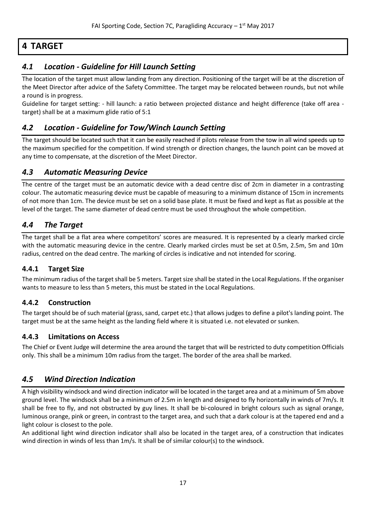# <span id="page-16-0"></span>**4 TARGET**

# <span id="page-16-1"></span>*4.1 Location - Guideline for Hill Launch Setting*

The location of the target must allow landing from any direction. Positioning of the target will be at the discretion of the Meet Director after advice of the Safety Committee. The target may be relocated between rounds, but not while a round is in progress.

Guideline for target setting: - hill launch: a ratio between projected distance and height difference (take off area target) shall be at a maximum glide ratio of 5:1

# <span id="page-16-2"></span>*4.2 Location - Guideline for Tow/Winch Launch Setting*

The target should be located such that it can be easily reached if pilots release from the tow in all wind speeds up to the maximum specified for the competition. If wind strength or direction changes, the launch point can be moved at any time to compensate, at the discretion of the Meet Director.

# <span id="page-16-3"></span>*4.3 Automatic Measuring Device*

The centre of the target must be an automatic device with a dead centre disc of 2cm in diameter in a contrasting colour. The automatic measuring device must be capable of measuring to a minimum distance of 15cm in increments of not more than 1cm. The device must be set on a solid base plate. It must be fixed and kept as flat as possible at the level of the target. The same diameter of dead centre must be used throughout the whole competition.

# <span id="page-16-4"></span>*4.4 The Target*

The target shall be a flat area where competitors' scores are measured. It is represented by a clearly marked circle with the automatic measuring device in the centre. Clearly marked circles must be set at 0.5m, 2.5m, 5m and 10m radius, centred on the dead centre. The marking of circles is indicative and not intended for scoring.

## <span id="page-16-5"></span>**4.4.1 Target Size**

The minimum radius of the target shall be 5 meters. Target size shall be stated in the Local Regulations. If the organiser wants to measure to less than 5 meters, this must be stated in the Local Regulations.

## <span id="page-16-6"></span>**4.4.2 Construction**

The target should be of such material (grass, sand, carpet etc.) that allows judges to define a pilot's landing point. The target must be at the same height as the landing field where it is situated i.e. not elevated or sunken.

#### <span id="page-16-7"></span>**4.4.3 Limitations on Access**

The Chief or Event Judge will determine the area around the target that will be restricted to duty competition Officials only. This shall be a minimum 10m radius from the target. The border of the area shall be marked.

# <span id="page-16-8"></span>*4.5 Wind Direction Indication*

A high visibility windsock and wind direction indicator will be located in the target area and at a minimum of 5m above ground level. The windsock shall be a minimum of 2.5m in length and designed to fly horizontally in winds of 7m/s. It shall be free to fly, and not obstructed by guy lines. It shall be bi-coloured in bright colours such as signal orange, luminous orange, pink or green, in contrast to the target area, and such that a dark colour is at the tapered end and a light colour is closest to the pole.

An additional light wind direction indicator shall also be located in the target area, of a construction that indicates wind direction in winds of less than 1m/s. It shall be of similar colour(s) to the windsock.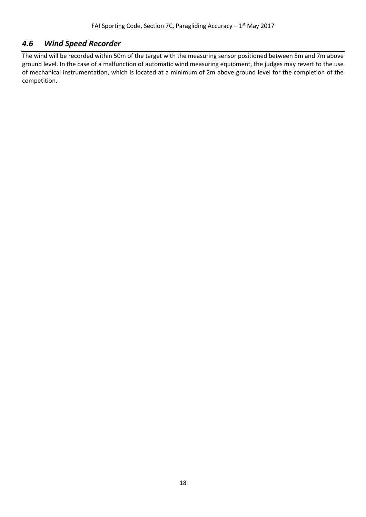## <span id="page-17-0"></span>*4.6 Wind Speed Recorder*

The wind will be recorded within 50m of the target with the measuring sensor positioned between 5m and 7m above ground level. In the case of a malfunction of automatic wind measuring equipment, the judges may revert to the use of mechanical instrumentation, which is located at a minimum of 2m above ground level for the completion of the competition.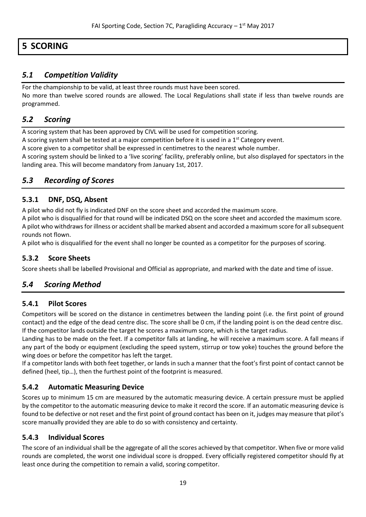# <span id="page-18-0"></span>**5 SCORING**

# <span id="page-18-1"></span>*5.1 Competition Validity*

For the championship to be valid, at least three rounds must have been scored.

No more than twelve scored rounds are allowed. The Local Regulations shall state if less than twelve rounds are programmed.

# <span id="page-18-2"></span>*5.2 Scoring*

A scoring system that has been approved by CIVL will be used for competition scoring.

A scoring system shall be tested at a major competition before it is used in a  $1<sup>st</sup>$  Category event.

A score given to a competitor shall be expressed in centimetres to the nearest whole number.

A scoring system should be linked to a 'live scoring' facility, preferably online, but also displayed for spectators in the landing area. This will become mandatory from January 1st, 2017.

# <span id="page-18-3"></span>*5.3 Recording of Scores*

## <span id="page-18-4"></span>**5.3.1 DNF, DSQ, Absent**

A pilot who did not fly is indicated DNF on the score sheet and accorded the maximum score.

A pilot who is disqualified for that round will be indicated DSQ on the score sheet and accorded the maximum score. A pilot who withdraws for illness or accident shall be marked absent and accorded a maximum score for all subsequent rounds not flown.

A pilot who is disqualified for the event shall no longer be counted as a competitor for the purposes of scoring.

## <span id="page-18-5"></span>**5.3.2 Score Sheets**

Score sheets shall be labelled Provisional and Official as appropriate, and marked with the date and time of issue.

# <span id="page-18-6"></span>*5.4 Scoring Method*

## <span id="page-18-7"></span>**5.4.1 Pilot Scores**

Competitors will be scored on the distance in centimetres between the landing point (i.e. the first point of ground contact) and the edge of the dead centre disc. The score shall be 0 cm, if the landing point is on the dead centre disc. If the competitor lands outside the target he scores a maximum score, which is the target radius.

Landing has to be made on the feet. If a competitor falls at landing, he will receive a maximum score. A fall means if any part of the body or equipment (excluding the speed system, stirrup or tow yoke) touches the ground before the wing does or before the competitor has left the target.

If a competitor lands with both feet together, or lands in such a manner that the foot's first point of contact cannot be defined (heel, tip…), then the furthest point of the footprint is measured.

## <span id="page-18-8"></span>**5.4.2 Automatic Measuring Device**

Scores up to minimum 15 cm are measured by the automatic measuring device. A certain pressure must be applied by the competitor to the automatic measuring device to make it record the score. If an automatic measuring device is found to be defective or not reset and the first point of ground contact has been on it, judges may measure that pilot's score manually provided they are able to do so with consistency and certainty.

## <span id="page-18-9"></span>**5.4.3 Individual Scores**

The score of an individual shall be the aggregate of all the scores achieved by that competitor. When five or more valid rounds are completed, the worst one individual score is dropped. Every officially registered competitor should fly at least once during the competition to remain a valid, scoring competitor.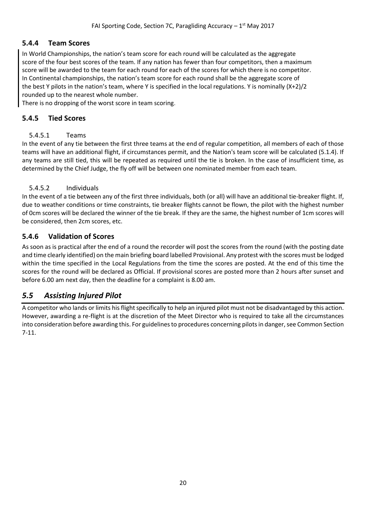#### <span id="page-19-0"></span>**5.4.4 Team Scores**

In World Championships, the nation's team score for each round will be calculated as the aggregate score of the four best scores of the team. If any nation has fewer than four competitors, then a maximum score will be awarded to the team for each round for each of the scores for which there is no competitor. In Continental championships, the nation's team score for each round shall be the aggregate score of the best Y pilots in the nation's team, where Y is specified in the local regulations. Y is nominally (X+2)/2 rounded up to the nearest whole number.

There is no dropping of the worst score in team scoring.

#### <span id="page-19-2"></span><span id="page-19-1"></span>**5.4.5 Tied Scores**

#### 5.4.5.1 Teams

In the event of any tie between the first three teams at the end of regular competition, all members of each of those teams will have an additional flight, if circumstances permit, and the Nation's team score will be calculated (5.1.4). If any teams are still tied, this will be repeated as required until the tie is broken. In the case of insufficient time, as determined by the Chief Judge, the fly off will be between one nominated member from each team.

#### <span id="page-19-3"></span>5.4.5.2 Individuals

In the event of a tie between any of the first three individuals, both (or all) will have an additional tie-breaker flight. If, due to weather conditions or time constraints, tie breaker flights cannot be flown, the pilot with the highest number of 0cm scores will be declared the winner of the tie break. If they are the same, the highest number of 1cm scores will be considered, then 2cm scores, etc.

#### <span id="page-19-4"></span>**5.4.6 Validation of Scores**

As soon as is practical after the end of a round the recorder will post the scores from the round (with the posting date and time clearly identified) on the main briefing board labelled Provisional. Any protest with the scores must be lodged within the time specified in the Local Regulations from the time the scores are posted. At the end of this time the scores for the round will be declared as Official. If provisional scores are posted more than 2 hours after sunset and before 6.00 am next day, then the deadline for a complaint is 8.00 am.

## <span id="page-19-5"></span>*5.5 Assisting Injured Pilot*

A competitor who lands or limits his flight specifically to help an injured pilot must not be disadvantaged by this action. However, awarding a re-flight is at the discretion of the Meet Director who is required to take all the circumstances into consideration before awarding this. For guidelines to procedures concerning pilots in danger, see Common Section 7-11.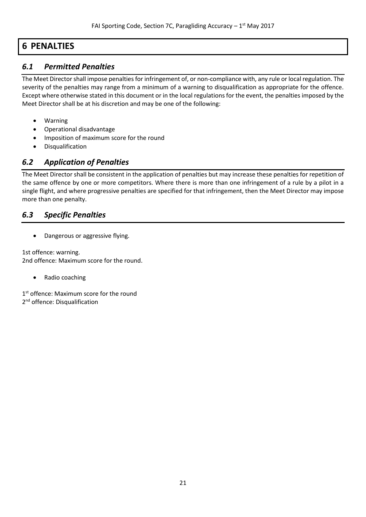# <span id="page-20-0"></span>**6 PENALTIES**

# <span id="page-20-1"></span>*6.1 Permitted Penalties*

The Meet Director shall impose penalties for infringement of, or non-compliance with, any rule or local regulation. The severity of the penalties may range from a minimum of a warning to disqualification as appropriate for the offence. Except where otherwise stated in this document or in the local regulations for the event, the penalties imposed by the Meet Director shall be at his discretion and may be one of the following:

- Warning
- Operational disadvantage
- Imposition of maximum score for the round
- Disqualification

# <span id="page-20-2"></span>*6.2 Application of Penalties*

The Meet Director shall be consistent in the application of penalties but may increase these penalties for repetition of the same offence by one or more competitors. Where there is more than one infringement of a rule by a pilot in a single flight, and where progressive penalties are specified for that infringement, then the Meet Director may impose more than one penalty.

# <span id="page-20-3"></span>*6.3 Specific Penalties*

• Dangerous or aggressive flying.

1st offence: warning. 2nd offence: Maximum score for the round.

Radio coaching

1<sup>st</sup> offence: Maximum score for the round 2<sup>nd</sup> offence: Disqualification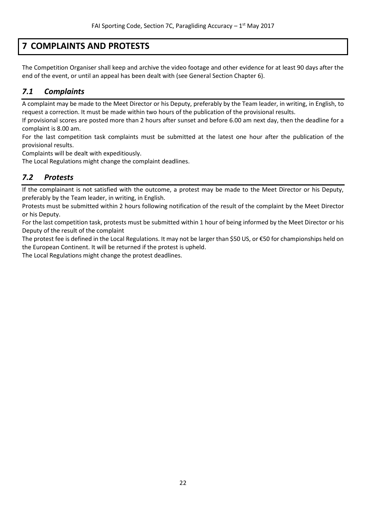# <span id="page-21-0"></span>**7 COMPLAINTS AND PROTESTS**

The Competition Organiser shall keep and archive the video footage and other evidence for at least 90 days after the end of the event, or until an appeal has been dealt with (see General Section Chapter 6).

# <span id="page-21-1"></span>*7.1 Complaints*

A complaint may be made to the Meet Director or his Deputy, preferably by the Team leader, in writing, in English, to request a correction. It must be made within two hours of the publication of the provisional results.

If provisional scores are posted more than 2 hours after sunset and before 6.00 am next day, then the deadline for a complaint is 8.00 am.

For the last competition task complaints must be submitted at the latest one hour after the publication of the provisional results.

Complaints will be dealt with expeditiously.

The Local Regulations might change the complaint deadlines.

# <span id="page-21-2"></span>*7.2 Protests*

If the complainant is not satisfied with the outcome, a protest may be made to the Meet Director or his Deputy, preferably by the Team leader, in writing, in English.

Protests must be submitted within 2 hours following notification of the result of the complaint by the Meet Director or his Deputy.

For the last competition task, protests must be submitted within 1 hour of being informed by the Meet Director or his Deputy of the result of the complaint

The protest fee is defined in the Local Regulations. It may not be larger than \$50 US, or €50 for championships held on the European Continent. It will be returned if the protest is upheld.

The Local Regulations might change the protest deadlines.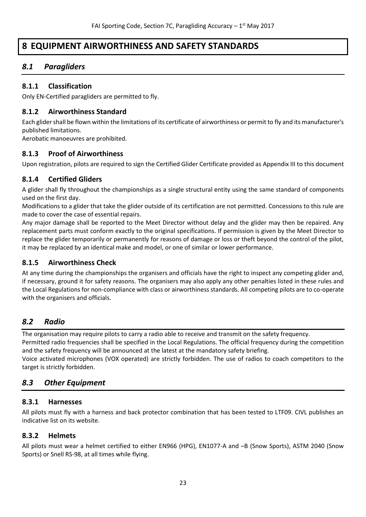# <span id="page-22-0"></span>**8 EQUIPMENT AIRWORTHINESS AND SAFETY STANDARDS**

# <span id="page-22-1"></span>*8.1 Paragliders*

#### <span id="page-22-2"></span>**8.1.1 Classification**

Only EN-Certified paragliders are permitted to fly.

#### <span id="page-22-3"></span>**8.1.2 Airworthiness Standard**

Each glider shall be flown within the limitations of its certificate of airworthiness or permit to fly and its manufacturer's published limitations.

Aerobatic manoeuvres are prohibited.

#### <span id="page-22-4"></span>**8.1.3 Proof of Airworthiness**

Upon registration, pilots are required to sign the Certified Glider Certificate provided as Appendix III to this document

#### <span id="page-22-5"></span>**8.1.4 Certified Gliders**

A glider shall fly throughout the championships as a single structural entity using the same standard of components used on the first day.

Modifications to a glider that take the glider outside of its certification are not permitted. Concessions to this rule are made to cover the case of essential repairs.

Any major damage shall be reported to the Meet Director without delay and the glider may then be repaired. Any replacement parts must conform exactly to the original specifications. If permission is given by the Meet Director to replace the glider temporarily or permanently for reasons of damage or loss or theft beyond the control of the pilot, it may be replaced by an identical make and model, or one of similar or lower performance.

#### <span id="page-22-6"></span>**8.1.5 Airworthiness Check**

At any time during the championships the organisers and officials have the right to inspect any competing glider and, if necessary, ground it for safety reasons. The organisers may also apply any other penalties listed in these rules and the Local Regulations for non-compliance with class or airworthiness standards. All competing pilots are to co-operate with the organisers and officials.

## <span id="page-22-7"></span>*8.2 Radio*

The organisation may require pilots to carry a radio able to receive and transmit on the safety frequency. Permitted radio frequencies shall be specified in the Local Regulations. The official frequency during the competition and the safety frequency will be announced at the latest at the mandatory safety briefing.

Voice activated microphones (VOX operated) are strictly forbidden. The use of radios to coach competitors to the target is strictly forbidden.

# <span id="page-22-8"></span>*8.3 Other Equipment*

#### <span id="page-22-9"></span>**8.3.1 Harnesses**

All pilots must fly with a harness and back protector combination that has been tested to LTF09. CIVL publishes an indicative list on its website.

#### <span id="page-22-10"></span>**8.3.2 Helmets**

All pilots must wear a helmet certified to either EN966 (HPG), EN1077-A and –B (Snow Sports), ASTM 2040 (Snow Sports) or Snell RS-98, at all times while flying.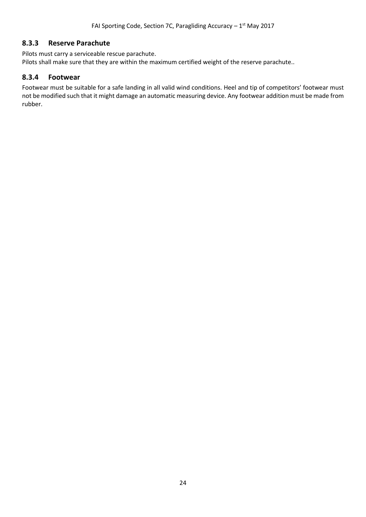#### <span id="page-23-0"></span>**8.3.3 Reserve Parachute**

Pilots must carry a serviceable rescue parachute. Pilots shall make sure that they are within the maximum certified weight of the reserve parachute..

#### <span id="page-23-1"></span>**8.3.4 Footwear**

Footwear must be suitable for a safe landing in all valid wind conditions. Heel and tip of competitors' footwear must not be modified such that it might damage an automatic measuring device. Any footwear addition must be made from rubber.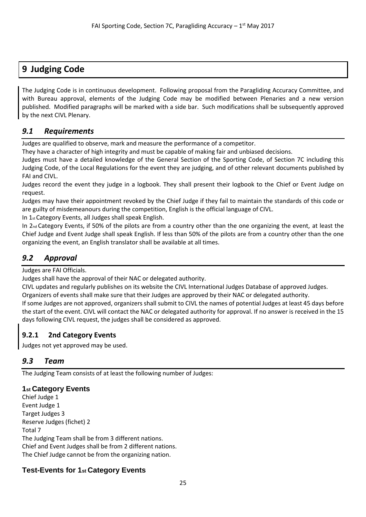# <span id="page-24-0"></span>**9 Judging Code**

The Judging Code is in continuous development. Following proposal from the Paragliding Accuracy Committee, and with Bureau approval, elements of the Judging Code may be modified between Plenaries and a new version published. Modified paragraphs will be marked with a side bar. Such modifications shall be subsequently approved by the next CIVL Plenary.

# <span id="page-24-1"></span>*9.1 Requirements*

Judges are qualified to observe, mark and measure the performance of a competitor.

They have a character of high integrity and must be capable of making fair and unbiased decisions.

Judges must have a detailed knowledge of the General Section of the Sporting Code, of Section 7C including this Judging Code, of the Local Regulations for the event they are judging, and of other relevant documents published by FAI and CIVL.

Judges record the event they judge in a logbook. They shall present their logbook to the Chief or Event Judge on request.

Judges may have their appointment revoked by the Chief Judge if they fail to maintain the standards of this code or are guilty of misdemeanours during the competition, English is the official language of CIVL.

In 1st Category Events, all Judges shall speak English.

In 2nd Category Events, if 50% of the pilots are from a country other than the one organizing the event, at least the Chief Judge and Event Judge shall speak English. If less than 50% of the pilots are from a country other than the one organizing the event, an English translator shall be available at all times.

# <span id="page-24-2"></span>*9.2 Approval*

Judges are FAI Officials.

Judges shall have the approval of their NAC or delegated authority.

CIVL updates and regularly publishes on its website the CIVL International Judges Database of approved Judges.

Organizers of events shall make sure that their Judges are approved by their NAC or delegated authority.

If some Judges are not approved, organizers shall submit to CIVL the names of potential Judges at least 45 days before the start of the event. CIVL will contact the NAC or delegated authority for approval. If no answer is received in the 15 days following CIVL request, the judges shall be considered as approved.

## <span id="page-24-3"></span>**9.2.1 2nd Category Events**

Judges not yet approved may be used.

# <span id="page-24-4"></span>*9.3 Team*

The Judging Team consists of at least the following number of Judges:

## **1st Category Events**

Chief Judge 1 Event Judge 1 Target Judges 3 Reserve Judges (fichet) 2 Total 7 The Judging Team shall be from 3 different nations. Chief and Event Judges shall be from 2 different nations. The Chief Judge cannot be from the organizing nation.

# **Test-Events for 1st Category Events**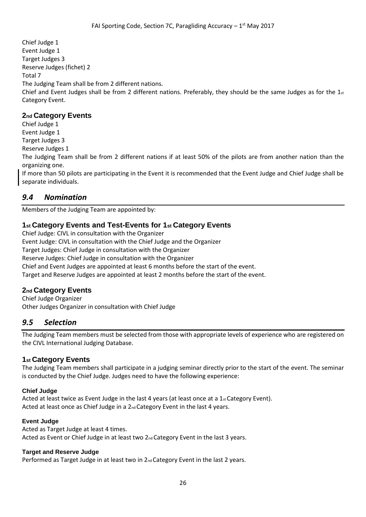Chief Judge 1 Event Judge 1 Target Judges 3 Reserve Judges (fichet) 2 Total 7 The Judging Team shall be from 2 different nations. Chief and Event Judges shall be from 2 different nations. Preferably, they should be the same Judges as for the  $1_{st}$ Category Event.

#### **2nd Category Events**

Chief Judge 1 Event Judge 1

Target Judges 3

Reserve Judges 1

The Judging Team shall be from 2 different nations if at least 50% of the pilots are from another nation than the organizing one.

If more than 50 pilots are participating in the Event it is recommended that the Event Judge and Chief Judge shall be separate individuals.

# <span id="page-25-0"></span>*9.4 Nomination*

Members of the Judging Team are appointed by:

## **1st Category Events and Test-Events for 1st Category Events**

Chief Judge: CIVL in consultation with the Organizer Event Judge: CIVL in consultation with the Chief Judge and the Organizer Target Judges: Chief Judge in consultation with the Organizer Reserve Judges: Chief Judge in consultation with the Organizer Chief and Event Judges are appointed at least 6 months before the start of the event. Target and Reserve Judges are appointed at least 2 months before the start of the event.

## **2nd Category Events**

Chief Judge Organizer Other Judges Organizer in consultation with Chief Judge

## <span id="page-25-1"></span>*9.5 Selection*

The Judging Team members must be selected from those with appropriate levels of experience who are registered on the CIVL International Judging Database.

## **1st Category Events**

The Judging Team members shall participate in a judging seminar directly prior to the start of the event. The seminar is conducted by the Chief Judge. Judges need to have the following experience:

#### **Chief Judge**

Acted at least twice as Event Judge in the last 4 years (at least once at a 1 $st$  Category Event). Acted at least once as Chief Judge in a  $2_{nd}$  Category Event in the last 4 years.

#### **Event Judge**

Acted as Target Judge at least 4 times. Acted as Event or Chief Judge in at least two 2<sub>nd</sub> Category Event in the last 3 years.

#### **Target and Reserve Judge**

Performed as Target Judge in at least two in 2<sub>nd</sub> Category Event in the last 2 years.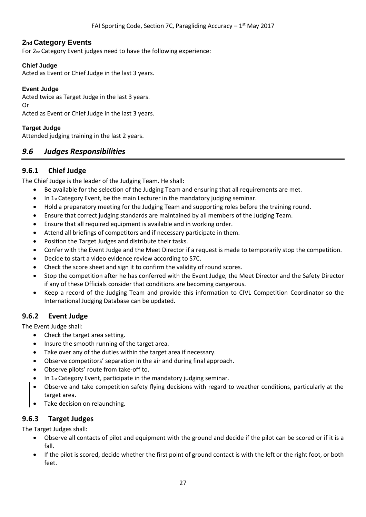#### **2nd Category Events**

For 2nd Category Event judges need to have the following experience:

#### **Chief Judge**

Acted as Event or Chief Judge in the last 3 years.

#### **Event Judge**

Acted twice as Target Judge in the last 3 years. Or

Acted as Event or Chief Judge in the last 3 years.

#### **Target Judge**

<span id="page-26-0"></span>Attended judging training in the last 2 years.

#### *9.6 Judges Responsibilities*

#### <span id="page-26-1"></span>**9.6.1 Chief Judge**

The Chief Judge is the leader of the Judging Team. He shall:

- Be available for the selection of the Judging Team and ensuring that all requirements are met.
- In 1<sub>st</sub> Category Event, be the main Lecturer in the mandatory judging seminar.
- Hold a preparatory meeting for the Judging Team and supporting roles before the training round.
- Ensure that correct judging standards are maintained by all members of the Judging Team.
- Ensure that all required equipment is available and in working order.
- Attend all briefings of competitors and if necessary participate in them.
- Position the Target Judges and distribute their tasks.
- Confer with the Event Judge and the Meet Director if a request is made to temporarily stop the competition.
- Decide to start a video evidence review according to S7C.
- Check the score sheet and sign it to confirm the validity of round scores.
- Stop the competition after he has conferred with the Event Judge, the Meet Director and the Safety Director if any of these Officials consider that conditions are becoming dangerous.
- Keep a record of the Judging Team and provide this information to CIVL Competition Coordinator so the International Judging Database can be updated.

#### <span id="page-26-2"></span>**9.6.2 Event Judge**

The Event Judge shall:

- Check the target area setting.
- Insure the smooth running of the target area.
- Take over any of the duties within the target area if necessary.
- Observe competitors' separation in the air and during final approach.
- Observe pilots' route from take-off to.
- In  $1<sub>st</sub>$  Category Event, participate in the mandatory judging seminar.
- Observe and take competition safety flying decisions with regard to weather conditions, particularly at the target area.
- Take decision on relaunching.

#### <span id="page-26-3"></span>**9.6.3 Target Judges**

The Target Judges shall:

- Observe all contacts of pilot and equipment with the ground and decide if the pilot can be scored or if it is a fall.
- If the pilot is scored, decide whether the first point of ground contact is with the left or the right foot, or both feet.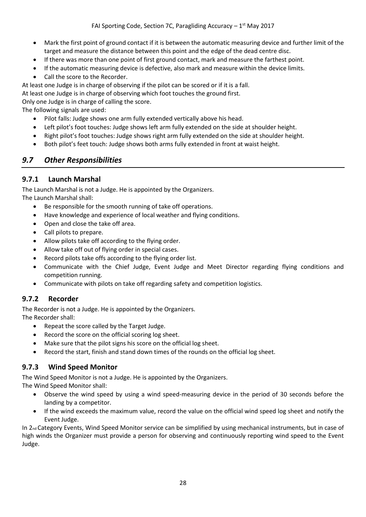- Mark the first point of ground contact if it is between the automatic measuring device and further limit of the target and measure the distance between this point and the edge of the dead centre disc.
- If there was more than one point of first ground contact, mark and measure the farthest point.
- If the automatic measuring device is defective, also mark and measure within the device limits.
- Call the score to the Recorder.
- At least one Judge is in charge of observing if the pilot can be scored or if it is a fall.

At least one Judge is in charge of observing which foot touches the ground first.

Only one Judge is in charge of calling the score.

The following signals are used:

- Pilot falls: Judge shows one arm fully extended vertically above his head.
- Left pilot's foot touches: Judge shows left arm fully extended on the side at shoulder height.
- Right pilot's foot touches: Judge shows right arm fully extended on the side at shoulder height.
- Both pilot's feet touch: Judge shows both arms fully extended in front at waist height.

# <span id="page-27-0"></span>*9.7 Other Responsibilities*

## <span id="page-27-1"></span>**9.7.1 Launch Marshal**

The Launch Marshal is not a Judge. He is appointed by the Organizers. The Launch Marshal shall:

- Be responsible for the smooth running of take off operations.
- Have knowledge and experience of local weather and flying conditions.
- Open and close the take off area.
- Call pilots to prepare.
- Allow pilots take off according to the flying order.
- Allow take off out of flying order in special cases.
- Record pilots take offs according to the flying order list.
- Communicate with the Chief Judge, Event Judge and Meet Director regarding flying conditions and competition running.
- Communicate with pilots on take off regarding safety and competition logistics.

# <span id="page-27-2"></span>**9.7.2 Recorder**

The Recorder is not a Judge. He is appointed by the Organizers.

The Recorder shall:

- Repeat the score called by the Target Judge.
- Record the score on the official scoring log sheet.
- Make sure that the pilot signs his score on the official log sheet.
- Record the start, finish and stand down times of the rounds on the official log sheet.

## <span id="page-27-3"></span>**9.7.3 Wind Speed Monitor**

The Wind Speed Monitor is not a Judge. He is appointed by the Organizers.

The Wind Speed Monitor shall:

- Observe the wind speed by using a wind speed-measuring device in the period of 30 seconds before the landing by a competitor.
- If the wind exceeds the maximum value, record the value on the official wind speed log sheet and notify the Event Judge.

In 2nd Category Events, Wind Speed Monitor service can be simplified by using mechanical instruments, but in case of high winds the Organizer must provide a person for observing and continuously reporting wind speed to the Event Judge.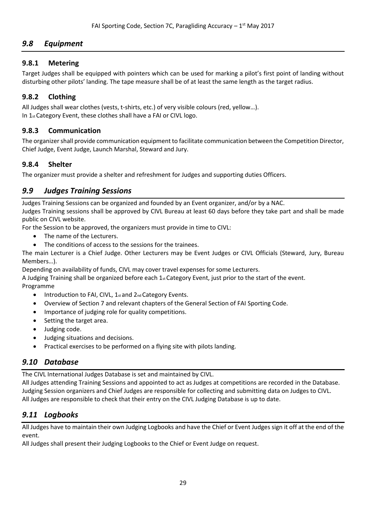# <span id="page-28-0"></span>*9.8 Equipment*

## <span id="page-28-1"></span>**9.8.1 Metering**

Target Judges shall be equipped with pointers which can be used for marking a pilot's first point of landing without disturbing other pilots' landing. The tape measure shall be of at least the same length as the target radius.

# <span id="page-28-2"></span>**9.8.2 Clothing**

All Judges shall wear clothes (vests, t-shirts, etc.) of very visible colours (red, yellow…). In 1st Category Event, these clothes shall have a FAI or CIVL logo.

## <span id="page-28-3"></span>**9.8.3 Communication**

The organizer shall provide communication equipment to facilitate communication between the Competition Director, Chief Judge, Event Judge, Launch Marshal, Steward and Jury.

## <span id="page-28-4"></span>**9.8.4 Shelter**

The organizer must provide a shelter and refreshment for Judges and supporting duties Officers.

# <span id="page-28-5"></span>*9.9 Judges Training Sessions*

Judges Training Sessions can be organized and founded by an Event organizer, and/or by a NAC. Judges Training sessions shall be approved by CIVL Bureau at least 60 days before they take part and shall be made public on CIVL website.

For the Session to be approved, the organizers must provide in time to CIVL:

- The name of the Lecturers.
- The conditions of access to the sessions for the trainees.

The main Lecturer is a Chief Judge. Other Lecturers may be Event Judges or CIVL Officials (Steward, Jury, Bureau Members…).

Depending on availability of funds, CIVL may cover travel expenses for some Lecturers.

A Judging Training shall be organized before each  $1_{st}$  Category Event, just prior to the start of the event. Programme

- Introduction to FAI, CIVL, 1st and 2nd Category Events.
- Overview of Section 7 and relevant chapters of the General Section of FAI Sporting Code.
- Importance of judging role for quality competitions.
- Setting the target area.
- Judging code.
- Judging situations and decisions.
- Practical exercises to be performed on a flying site with pilots landing.

# <span id="page-28-6"></span>*9.10 Database*

The CIVL International Judges Database is set and maintained by CIVL.

All Judges attending Training Sessions and appointed to act as Judges at competitions are recorded in the Database. Judging Session organizers and Chief Judges are responsible for collecting and submitting data on Judges to CIVL. All Judges are responsible to check that their entry on the CIVL Judging Database is up to date.

# <span id="page-28-7"></span>*9.11 Logbooks*

All Judges have to maintain their own Judging Logbooks and have the Chief or Event Judges sign it off at the end of the event.

All Judges shall present their Judging Logbooks to the Chief or Event Judge on request.